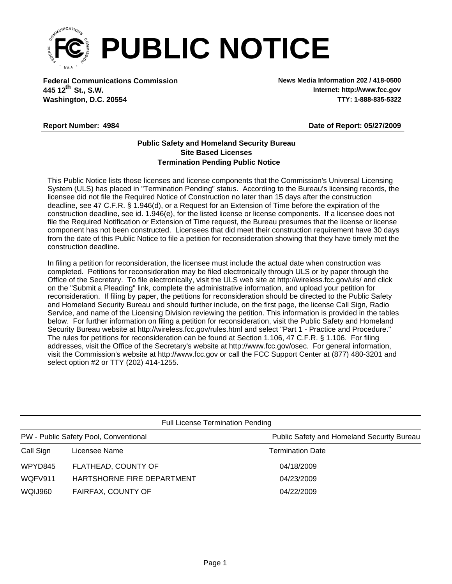

**Federal Communications Commission News Media Information 202 / 418-0500 Washington, D.C. 20554 TTY: 1-888-835-5322 445 12<sup>th</sup> St., S.W.** 

**Internet: http://www.fcc.gov**

## **Report Number: 4984**

**Date of Report: 05/27/2009**

## **Termination Pending Public Notice Site Based Licenses Public Safety and Homeland Security Bureau**

This Public Notice lists those licenses and license components that the Commission's Universal Licensing System (ULS) has placed in "Termination Pending" status. According to the Bureau's licensing records, the licensee did not file the Required Notice of Construction no later than 15 days after the construction deadline, see 47 C.F.R. § 1.946(d), or a Request for an Extension of Time before the expiration of the construction deadline, see id. 1.946(e), for the listed license or license components. If a licensee does not file the Required Notification or Extension of Time request, the Bureau presumes that the license or license component has not been constructed. Licensees that did meet their construction requirement have 30 days from the date of this Public Notice to file a petition for reconsideration showing that they have timely met the construction deadline.

In filing a petition for reconsideration, the licensee must include the actual date when construction was completed. Petitions for reconsideration may be filed electronically through ULS or by paper through the Office of the Secretary. To file electronically, visit the ULS web site at http://wireless.fcc.gov/uls/ and click on the "Submit a Pleading" link, complete the administrative information, and upload your petition for reconsideration. If filing by paper, the petitions for reconsideration should be directed to the Public Safety and Homeland Security Bureau and should further include, on the first page, the license Call Sign, Radio Service, and name of the Licensing Division reviewing the petition. This information is provided in the tables below. For further information on filing a petition for reconsideration, visit the Public Safety and Homeland Security Bureau website at http://wireless.fcc.gov/rules.html and select "Part 1 - Practice and Procedure." The rules for petitions for reconsideration can be found at Section 1.106, 47 C.F.R. § 1.106. For filing addresses, visit the Office of the Secretary's website at http://www.fcc.gov/osec. For general information, visit the Commission's website at http://www.fcc.gov or call the FCC Support Center at (877) 480-3201 and select option #2 or TTY (202) 414-1255.

| <b>Full License Termination Pending</b> |                            |                                            |  |  |  |
|-----------------------------------------|----------------------------|--------------------------------------------|--|--|--|
| PW - Public Safety Pool, Conventional   |                            | Public Safety and Homeland Security Bureau |  |  |  |
| Call Sign                               | Licensee Name              | <b>Termination Date</b>                    |  |  |  |
| WPYD845                                 | FLATHEAD, COUNTY OF        | 04/18/2009                                 |  |  |  |
| WQFV911                                 | HARTSHORNE FIRE DEPARTMENT | 04/23/2009                                 |  |  |  |
| WQIJ960                                 | FAIRFAX, COUNTY OF         | 04/22/2009                                 |  |  |  |